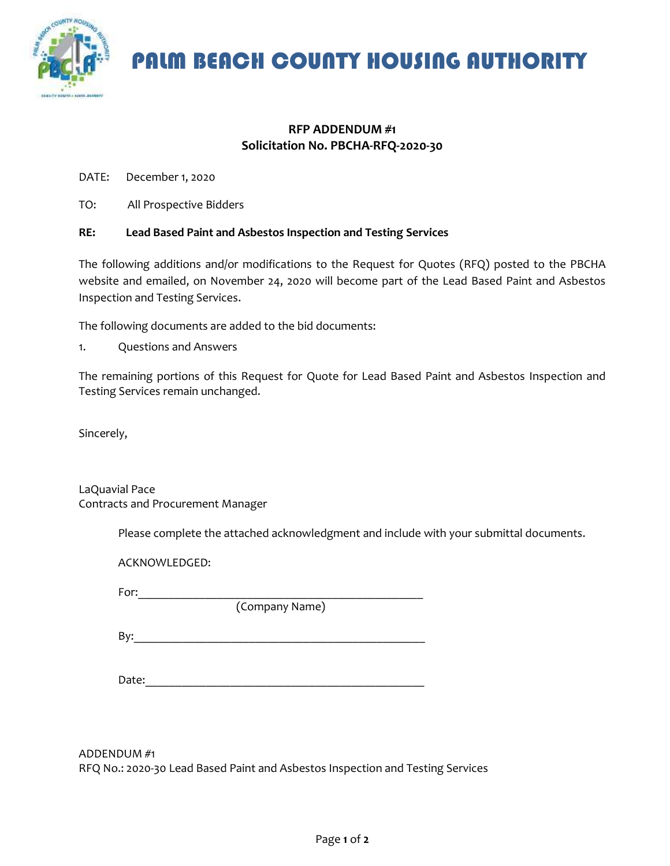

PALM BEACH COUNTY HOUSING AUTHORITY

## **RFP ADDENDUM #1 Solicitation No. PBCHA-RFQ-2020-30**

DATE: December 1, 2020

TO: All Prospective Bidders

## **RE: Lead Based Paint and Asbestos Inspection and Testing Services**

The following additions and/or modifications to the Request for Quotes (RFQ) posted to the PBCHA website and emailed, on November 24, 2020 will become part of the Lead Based Paint and Asbestos Inspection and Testing Services.

The following documents are added to the bid documents:

1. Questions and Answers

The remaining portions of this Request for Quote for Lead Based Paint and Asbestos Inspection and Testing Services remain unchanged.

Sincerely,

LaQuavial Pace Contracts and Procurement Manager

Please complete the attached acknowledgment and include with your submittal documents.

ACKNOWLEDGED:

For:  $\Box$ 

(Company Name)

 $\mathsf{By:}$ 

Date:

ADDENDUM #1 RFQ No.: 2020-30 Lead Based Paint and Asbestos Inspection and Testing Services